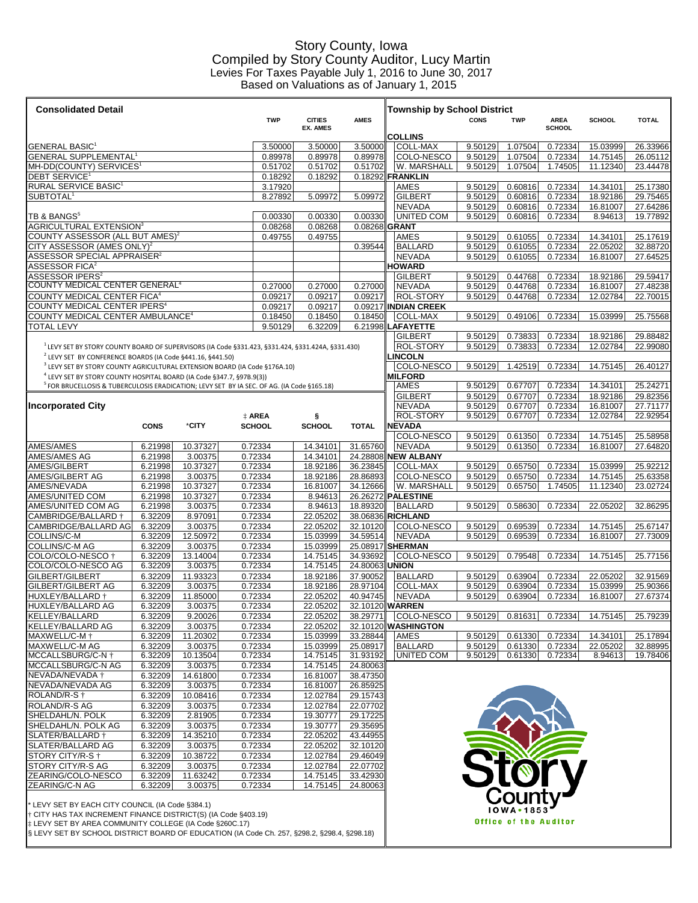## Story County, Iowa Compiled by Story County Auditor, Lucy Martin Levies For Taxes Payable July 1, 2016 to June 30, 2017 Based on Valuations as of January 1, 2015

| <b>Consolidated Detail</b>                                                                            |                    |                     |                    |                    |                      |                          |         | <b>Township by School District</b>     |                    |                              |                    |                      |                      |  |  |
|-------------------------------------------------------------------------------------------------------|--------------------|---------------------|--------------------|--------------------|----------------------|--------------------------|---------|----------------------------------------|--------------------|------------------------------|--------------------|----------------------|----------------------|--|--|
|                                                                                                       |                    |                     |                    | TWP                | <b>CITIES</b>        | <b>AMES</b>              |         |                                        | CONS               | <b>TWP</b>                   | <b>AREA</b>        | <b>SCHOOL</b>        | <b>TOTAL</b>         |  |  |
|                                                                                                       |                    |                     |                    |                    | <b>EX. AMES</b>      |                          |         | <b>COLLINS</b>                         |                    |                              | <b>SCHOOL</b>      |                      |                      |  |  |
| GENERAL BASIC'                                                                                        |                    |                     |                    | 3.50000            | 3.50000              | 3.50000                  |         | <b>COLL-MAX</b>                        | 9.50129            | 1.07504                      | 0.72334            | 15.03999             | 26.33966             |  |  |
| GENERAL SUPPLEMENTAL <sup>1</sup>                                                                     |                    |                     |                    | 0.89978            | 0.89978              | 0.89978                  |         | COLO-NESCO                             | 9.50129            | 1.07504                      | 0.72334            | 14.75145             | 26.05112             |  |  |
| MH-DD(COUNTY) SERVICES <sup>1</sup><br><b>DEBT SERVICE<sup>1</sup></b>                                |                    |                     |                    | 0.51702<br>0.18292 | 0.51702<br>0.18292   | 0.51702                  |         | W. MARSHALL<br>0.18292 FRANKLIN        | 9.50129            | 1.07504                      | 1.74505            | 11.12340             | 23.44478             |  |  |
| RURAL SERVICE BASIC <sup>1</sup>                                                                      |                    |                     |                    | 3.17920            |                      |                          |         | <b>AMES</b>                            | 9.50129            | 0.60816                      | 0.72334            | 14.34101             | 25.17380             |  |  |
| SUBTOTAL <sup>1</sup>                                                                                 |                    | 8.27892             | 5.09972            | 5.09972            |                      | <b>GILBERT</b>           | 9.50129 | 0.60816                                | 0.72334            | 18.92186                     | 29.75465           |                      |                      |  |  |
| TB & $\mathsf{BANGS}^5$                                                                               |                    |                     |                    |                    |                      |                          |         | <b>NEVADA</b>                          | 9.50129            | 0.60816                      | 0.72334            | 16.81007             | 27.64286             |  |  |
| AGRICULTURAL EXTENSION <sup>3</sup>                                                                   |                    |                     |                    | 0.00330<br>0.08268 | 0.00330<br>0.08268   | 0.00330<br>0.08268 GRANT |         | UNITED COM                             | 9.50129            | 0.60816                      | 0.72334            | 8.94613              | 19.77892             |  |  |
| COUNTY ASSESSOR (ALL BUT AMES) $^2$                                                                   |                    |                     |                    | 0.49755            | 0.49755              |                          |         | AMES                                   | 9.50129            | 0.61055                      | 0.72334            | 14.34101             | 25.17619             |  |  |
| CITY ASSESSOR (AMES ONLY) <sup>2</sup>                                                                |                    |                     |                    |                    |                      | 0.39544                  |         | <b>BALLARD</b>                         | 9.50129            | 0.61055                      | 0.72334            | 22.05202             | 32.88720             |  |  |
| ASSESSOR SPECIAL APPRAISER $^{\rm 2}$                                                                 |                    |                     |                    |                    |                      |                          |         | <b>NEVADA</b>                          | 9.50129            | 0.61055                      | 0.72334            | 16.81007             | 27.64525             |  |  |
| ASSESSOR FICA $^{\rm 2}$<br><code>ASSESSOR</code> IPERS $^{\rm z}$                                    |                    |                     |                    |                    |                      |                          |         | <b>HOWARD</b><br><b>GILBERT</b>        | 9.50129            | 0.44768                      | 0.72334            | 18.92186             | 29.59417             |  |  |
| COUNTY MEDICAL CENTER GENERAL <sup>4</sup>                                                            |                    |                     |                    | 0.27000            | 0.27000              | 0.27000                  |         | <b>NEVADA</b>                          | 9.50129            | 0.44768                      | 0.72334            | 16.81007             | 27.48238             |  |  |
| COUNTY MEDICAL CENTER FICA <sup>4</sup>                                                               |                    |                     |                    | 0.09217            | 0.09217              | 0.09217                  |         | <b>ROL-STORY</b>                       | 9.50129            | 0.44768                      | 0.72334            | 12.02784             | 22.70015             |  |  |
| COUNTY MEDICAL CENTER IPERS <sup>4</sup>                                                              |                    |                     |                    | 0.09217            | 0.09217              |                          |         | 0.09217 INDIAN CREEK                   |                    |                              |                    |                      |                      |  |  |
| COUNTY MEDICAL CENTER AMBULANCE <sup>4</sup>                                                          |                    |                     |                    | 0.18450            | 0.18450              | 0.18450                  |         | <b>COLL-MAX</b>                        | 9.50129            | 0.49106                      | 0.72334            | 15.03999             | 25.75568             |  |  |
| TOTAL LEVY                                                                                            |                    |                     |                    | 9.50129            | 6.32209              | 6.21998                  |         | <b>LAFAYETTE</b><br><b>GILBERT</b>     | 9.50129            | 0.73833                      | 0.72334            | 18.92186             | 29.88482             |  |  |
| $1$ LEVY SET BY STORY COUNTY BOARD OF SUPERVISORS (IA Code §331.423, §331.424, §331.424A, §331.430)   |                    |                     |                    |                    |                      |                          |         | ROL-STORY                              | 9.50129            | 0.73833                      | 0.72334            | 12.02784             | 22.99080             |  |  |
| <sup>2</sup> LEVY SET BY CONFERENCE BOARDS (IA Code §441.16, §441.50)                                 |                    |                     |                    |                    |                      |                          |         | <b>_INCOLN</b>                         |                    |                              |                    |                      |                      |  |  |
| <sup>3</sup> LEVY SET BY STORY COUNTY AGRICULTURAL EXTENSION BOARD (IA Code §176A.10)                 |                    |                     |                    |                    |                      |                          |         | COLO-NESCO                             | 9.50129            | 1.42519                      | 0.72334            | 14.75145             | 26.40127             |  |  |
| <sup>4</sup> LEVY SET BY STORY COUNTY HOSPITAL BOARD (IA Code §347.7, §97B.9(3))                      |                    |                     |                    |                    |                      |                          |         | <b>MILFORD</b>                         |                    |                              |                    |                      |                      |  |  |
| <sup>5</sup> FOR BRUCELLOSIS & TUBERCULOSIS ERADICATION; LEVY SET BY IA SEC. OF AG. (IA Code §165.18) |                    |                     |                    |                    |                      |                          |         | AMES<br><b>GILBERT</b>                 | 9.50129<br>9.50129 | 0.67707<br>0.67707           | 0.72334<br>0.72334 | 14.34101<br>18.92186 | 25.24271<br>29.82356 |  |  |
| <b>Incorporated City</b>                                                                              |                    |                     |                    |                    |                      |                          |         | <b>NEVADA</b>                          | 9.50129            | 0.67707                      | 0.72334            | 16.81007             | 27.71177             |  |  |
|                                                                                                       |                    |                     | ‡ AREA             |                    | ş                    |                          |         | <b>ROL-STORY</b>                       | 9.50129            | 0.67707                      | 0.72334            | 12.02784             | 22.92954             |  |  |
|                                                                                                       | <b>CONS</b>        | *CITY               | <b>SCHOOL</b>      |                    | <b>SCHOOL</b>        | <b>TOTAL</b>             |         | <b>NEVADA</b>                          |                    |                              |                    |                      |                      |  |  |
|                                                                                                       |                    |                     |                    |                    |                      |                          |         | COLO-NESCO                             | 9.50129            | 0.61350                      | 0.72334            | 14.75145             | 25.58958             |  |  |
| AMES/AMES<br>AMES/AMES AG                                                                             | 6.21998            | 10.37327            | 0.72334            |                    | 14.34101             | 31.65760                 |         | <b>NEVADA</b>                          | 9.50129            | 0.61350                      | 0.72334            | 16.81007             | 27.64820             |  |  |
| AMES/GILBERT                                                                                          | 6.21998<br>6.21998 | 3.00375<br>10.37327 | 0.72334<br>0.72334 |                    | 14.34101<br>18.92186 | 36.23845                 |         | 24.28808 NEW ALBANY<br><b>COLL-MAX</b> | 9.50129            | 0.65750                      | 0.72334            | 15.03999             | 25.92212             |  |  |
| AMES/GILBERT AG                                                                                       | 6.21998            | 3.00375             | 0.72334            |                    | 18.92186             | 28.86893                 |         | COLO-NESCO                             | 9.50129            | 0.65750                      | 0.72334            | 14.75145             | 25.63358             |  |  |
| AMES/NEVADA                                                                                           | 6.21998            | 10.37327            | 0.72334            |                    | 16.81007             | 34.12666                 |         | W. MARSHALL                            | 9.50129            | 0.65750                      | 1.74505            | 11.12340             | 23.02724             |  |  |
| AMES/UNITED COM                                                                                       | 6.21998            | 10.37327            | 0.72334            |                    | 8.94613              | 26.26272                 |         | <b>PALESTINE</b>                       |                    |                              |                    |                      |                      |  |  |
| AMES/UNITED COM AG                                                                                    | 6.21998            | 3.00375             | 0.72334            |                    | 8.94613              | 18.89320                 |         | <b>BALLARD</b>                         | 9.50129            | 0.58630                      | 0.72334            | 22.05202             | 32.86295             |  |  |
| CAMBRIDGE/BALLARD †                                                                                   | 6.32209<br>6.32209 | 8.97091             | 0.72334<br>0.72334 |                    | 22.05202<br>22.05202 |                          |         | 38.06836 RICHLAND                      |                    |                              | 0.72334            |                      |                      |  |  |
| CAMBRIDGE/BALLARD AG<br>COLLINS/C-M                                                                   | 6.32209            | 3.00375<br>12.50972 | 0.72334            |                    | 15.03999             | 32.10120<br>34.59514     |         | COLO-NESCO<br>NEVADA                   | 9.50129<br>9.50129 | 0.69539<br>0.69539           | 0.72334            | 14.75145<br>16.81007 | 25.67147<br>27.73009 |  |  |
| COLLINS/C-M AG                                                                                        | 6.32209            | 3.00375             | 0.72334            |                    | 15.03999             | 25.08917 SHERMAN         |         |                                        |                    |                              |                    |                      |                      |  |  |
| COLO/COLO-NESCO †                                                                                     | 6.32209            | 13.14004            | 0.72334            |                    | 14.75145             | 34.93692                 |         | COLO-NESCO                             | 9.50129            | 0.79548                      | 0.72334            | 14.75145             | 25.77156             |  |  |
| COLO/COLO-NESCO AG                                                                                    | 6.32209            | 3.00375             | 0.72334            |                    | 14.75145             | 24.80063                 |         | <b>UNION</b>                           |                    |                              |                    |                      |                      |  |  |
| GILBERT/GILBERT                                                                                       | 6.32209            | 11.93323            | 0.72334            |                    | 18.92186             | 37.90052                 |         | <b>BALLARD</b>                         | 9.50129            | 0.63904                      | 0.72334            | 22.05202             | 32.91569             |  |  |
| GILBERT/GILBERT AG<br>HUXLEY/BALLARD †                                                                | 6.32209<br>6.32209 | 3.00375<br>11.85000 | 0.72334<br>0.72334 |                    | 18.92186<br>22.05202 | 28.97104<br>40.94745     |         | <b>COLL-MAX</b><br><b>NEVADA</b>       | 9.50129<br>9.50129 | 0.63904<br>0.63904           | 0.72334<br>0.72334 | 15.03999<br>16.81007 | 25.90366<br>27.67374 |  |  |
| HUXLEY/BALLARD AG                                                                                     | 6.32209            | 3.00375             | 0.72334            |                    | 22.05202             | 32.10120 WARREN          |         |                                        |                    |                              |                    |                      |                      |  |  |
| KELLEY/BALLARD                                                                                        | 6.32209            | 9.20026             | 0.72334            |                    | 22.05202             | 38.29771                 |         | COLO-NESCO                             | 9.50129            | 0.81631                      | 0.72334            | 14.75145             | 25.79239             |  |  |
| KELLEY/BALLARD AG                                                                                     | 6.32209            | 3.00375             | 0.72334            |                    | 22.05202             |                          |         | 32.10120 WASHINGTON                    |                    |                              |                    |                      |                      |  |  |
| MAXWELL/C-M +                                                                                         | 6.32209            | 11.20302            | 0.72334            |                    | 15.03999             | 33.28844                 |         | AMES                                   | 9.50129            | 0.61330                      | 0.72334            | 14.34101             | 25.17894             |  |  |
| MAXWELL/C-M AG                                                                                        | 6.32209            | 3.00375             | 0.72334            |                    | 15.03999             | 25.08917                 |         | <b>BALLARD</b>                         | 9.50129            | 0.61330                      | 0.72334            | 22.05202             | 32.88995             |  |  |
| MCCALLSBURG/C-N $\dagger$<br>MCCALLSBURG/C-N AG                                                       | 6.32209<br>6.32209 | 10.13504<br>3.00375 | 0.72334<br>0.72334 |                    | 14.75145<br>14.75145 | 31.93192<br>24.80063     |         | <b>UNITED COM</b>                      | 9.50129            | 0.61330                      | 0.72334            | 8.94613              | 19.78406             |  |  |
| NEVADA/NEVADA †                                                                                       | 6.32209            | 14.61800            | 0.72334            |                    | 16.81007             | 38.47350                 |         |                                        |                    |                              |                    |                      |                      |  |  |
| NEVADA/NEVADA AG                                                                                      | 6.32209            | 3.00375             | 0.72334            |                    | 16.81007             | 26.85925                 |         |                                        |                    |                              |                    |                      |                      |  |  |
| ROLAND/R-S <sup>+</sup>                                                                               | 6.32209            | 10.08416            | 0.72334            |                    | 12.02784             | 29.15743                 |         |                                        |                    |                              |                    |                      |                      |  |  |
| <b>ROLAND/R-S AG</b>                                                                                  | 6.32209            | 3.00375             | 0.72334            |                    | 12.02784             | 22.07702                 |         |                                        |                    |                              |                    |                      |                      |  |  |
| SHELDAHL/N. POLK                                                                                      | 6.32209            | 2.81905             | 0.72334            |                    | 19.30777             | 29.17225                 |         |                                        |                    |                              |                    |                      |                      |  |  |
| SHELDAHL/N. POLK AG<br>SLATER/BALLARD †                                                               | 6.32209<br>6.32209 | 3.00375<br>14.35210 | 0.72334<br>0.72334 |                    | 19.30777<br>22.05202 | 29.35695<br>43.44955     |         |                                        |                    |                              |                    |                      |                      |  |  |
| SLATER/BALLARD AG                                                                                     | 6.32209            | 3.00375             | 0.72334            |                    | 22.05202             | 32.10120                 |         |                                        |                    |                              |                    |                      |                      |  |  |
| STORY CITY/R-S +                                                                                      | 6.32209            | 10.38722            | 0.72334            |                    | 12.02784             | 29.46049                 |         |                                        |                    |                              |                    |                      |                      |  |  |
| STORY CITY/R-S AG                                                                                     | 6.32209            | 3.00375             | 0.72334            |                    | 12.02784             | 22.07702                 |         |                                        |                    | Stor                         |                    |                      |                      |  |  |
| ZEARING/COLO-NESCO                                                                                    | 6.32209            | 11.63242            | 0.72334            |                    | 14.75145             | 33.42930                 |         |                                        |                    |                              |                    |                      |                      |  |  |
| ZEARING/C-N AG                                                                                        | 6.32209            | 3.00375             | 0.72334            |                    | 14.75145             | 24.80063                 |         |                                        |                    |                              |                    |                      |                      |  |  |
| * LEVY SET BY EACH CITY COUNCIL (IA Code §384.1)                                                      |                    |                     |                    |                    |                      |                          |         |                                        |                    | County                       |                    |                      |                      |  |  |
| † CITY HAS TAX INCREMENT FINANCE DISTRICT(S) (IA Code §403.19)                                        |                    |                     |                    |                    |                      |                          |         |                                        |                    |                              |                    |                      |                      |  |  |
| † LEVY SET BY AREA COMMUNITY COLLEGE (IA Code §260C.17)                                               |                    |                     |                    |                    |                      |                          |         |                                        |                    | <b>Office of the Auditor</b> |                    |                      |                      |  |  |

† CITY HAS TAX INCREMENT FINANCE DISTRICT(S) (IA Code §403.19) ‡ LEVY SET BY AREA COMMUNITY COLLEGE (IA Code §260C.17)

§ LEVY SET BY SCHOOL DISTRICT BOARD OF EDUCATION (IA Code Ch. 257, §298.2, §298.4, §298.18)